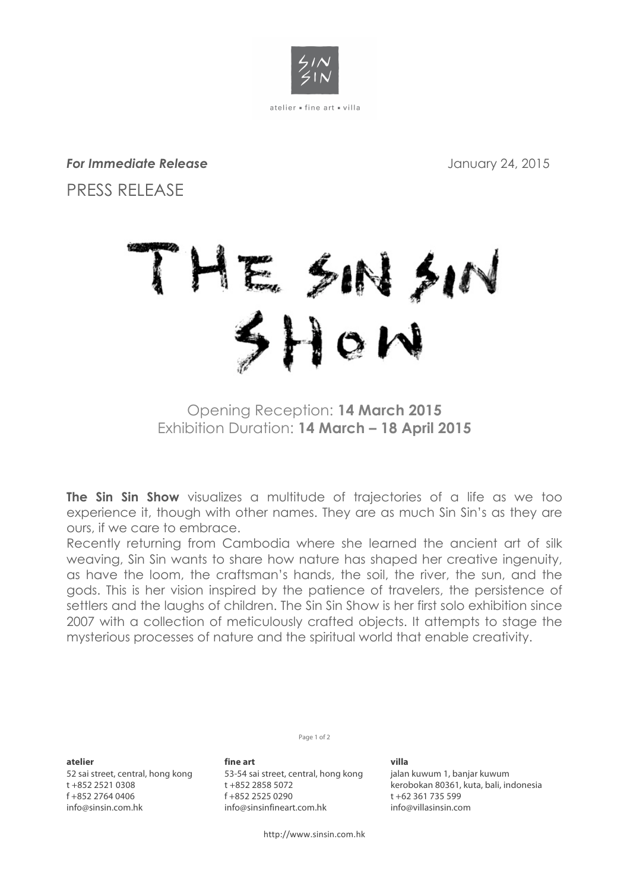

**For Immediate Release**<br> **For Immediate Release** PRESS RELEASE



Opening Reception: **14 March 2015**  Exhibition Duration: **14 March – 18 April 2015**

**The Sin Sin Show** visualizes a multitude of trajectories of a life as we too experience it, though with other names. They are as much Sin Sin's as they are ours, if we care to embrace.

Recently returning from Cambodia where she learned the ancient art of silk weaving, Sin Sin wants to share how nature has shaped her creative ingenuity, as have the loom, the craftsman's hands, the soil, the river, the sun, and the gods. This is her vision inspired by the patience of travelers, the persistence of settlers and the laughs of children. The Sin Sin Show is her first solo exhibition since 2007 with a collection of meticulously crafted objects. It attempts to stage the mysterious processes of nature and the spiritual world that enable creativity.

**atelier** 

52 sai street, central, hong kong t +852 2521 0308 f +852 2764 0406 info@sinsin.com.hk

Page 1 of 2

**fine art** 53-54 sai street, central, hong kong t +852 2858 5072  $f + 852 2525 0290$ info@sinsinfineart.com.hk

**villa**

jalan kuwum 1, banjar kuwum kerobokan 80361, kuta, bali, indonesia t +62 361 735 599 info@villasinsin.com

http://www.sinsin.com.hk